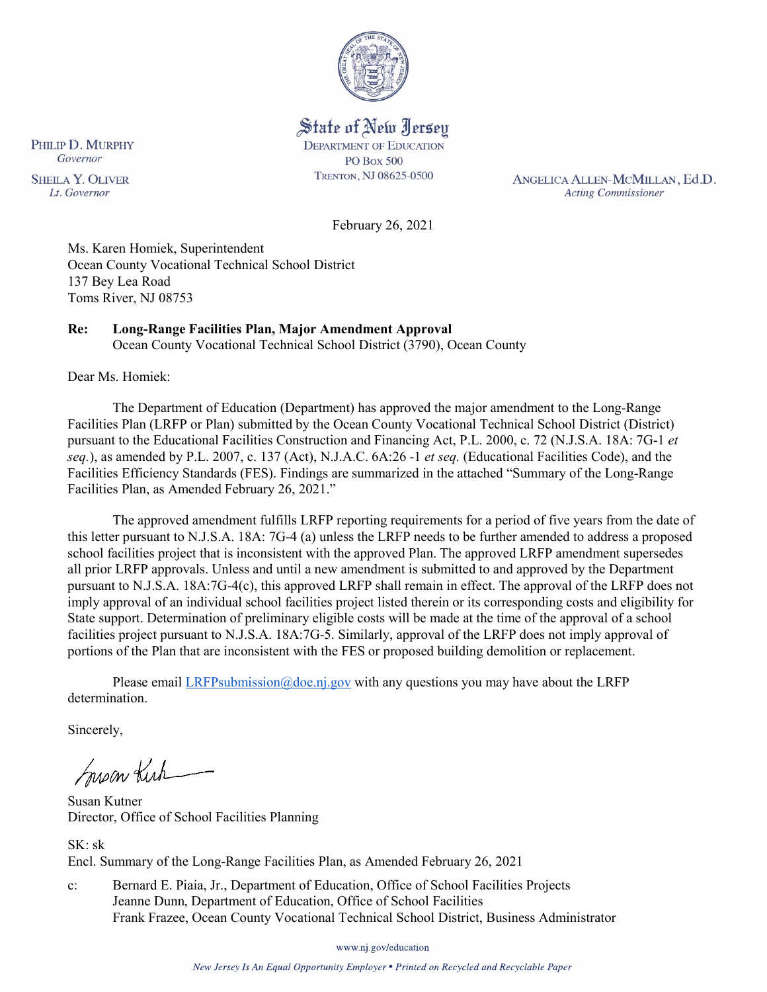

State of New Jersey **DEPARTMENT OF EDUCATION PO Box 500** TRENTON, NJ 08625-0500

ANGELICA ALLEN-MCMILLAN, Ed.D. **Acting Commissioner** 

February 26, 2021

Ms. Karen Homiek, Superintendent Ocean County Vocational Technical School District 137 Bey Lea Road Toms River, NJ 08753

# **Re: Long-Range Facilities Plan, Major Amendment Approval**

Ocean County Vocational Technical School District (3790), Ocean County

Dear Ms. Homiek:

The Department of Education (Department) has approved the major amendment to the Long-Range Facilities Plan (LRFP or Plan) submitted by the Ocean County Vocational Technical School District (District) pursuant to the Educational Facilities Construction and Financing Act, P.L. 2000, c. 72 (N.J.S.A. 18A: 7G-1 *et seq.*), as amended by P.L. 2007, c. 137 (Act), N.J.A.C. 6A:26 -1 *et seq.* (Educational Facilities Code), and the Facilities Efficiency Standards (FES). Findings are summarized in the attached "Summary of the Long-Range Facilities Plan, as Amended February 26, 2021."

The approved amendment fulfills LRFP reporting requirements for a period of five years from the date of this letter pursuant to N.J.S.A. 18A: 7G-4 (a) unless the LRFP needs to be further amended to address a proposed school facilities project that is inconsistent with the approved Plan. The approved LRFP amendment supersedes all prior LRFP approvals. Unless and until a new amendment is submitted to and approved by the Department pursuant to N.J.S.A. 18A:7G-4(c), this approved LRFP shall remain in effect. The approval of the LRFP does not imply approval of an individual school facilities project listed therein or its corresponding costs and eligibility for State support. Determination of preliminary eligible costs will be made at the time of the approval of a school facilities project pursuant to N.J.S.A. 18A:7G-5. Similarly, approval of the LRFP does not imply approval of portions of the Plan that are inconsistent with the FES or proposed building demolition or replacement.

Please email *LRFPsubmission@doe.nj.gov* with any questions you may have about the LRFP determination.

Sincerely,

Susan Kich

Susan Kutner Director, Office of School Facilities Planning

SK: sk Encl. Summary of the Long-Range Facilities Plan, as Amended February 26, 2021

c: Bernard E. Piaia, Jr., Department of Education, Office of School Facilities Projects Jeanne Dunn, Department of Education, Office of School Facilities Frank Frazee, Ocean County Vocational Technical School District, Business Administrator

www.nj.gov/education

New Jersey Is An Equal Opportunity Employer . Printed on Recycled and Recyclable Paper

PHILIP D. MURPHY Governor **SHEILA Y. OLIVER** Lt. Governor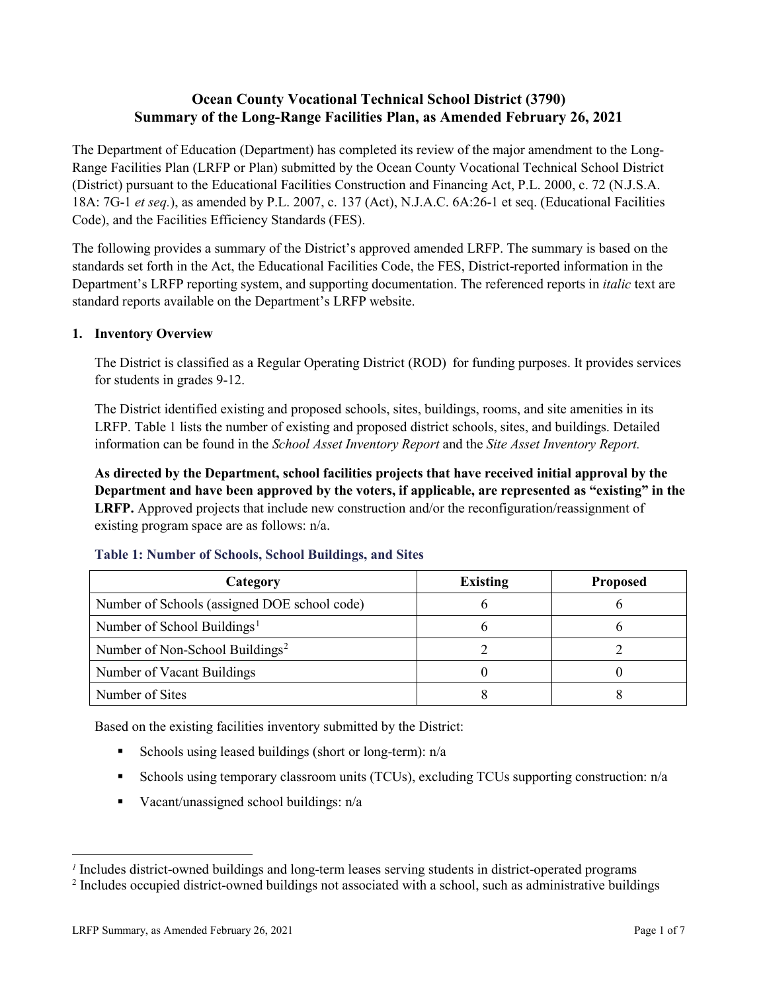# **Ocean County Vocational Technical School District (3790) Summary of the Long-Range Facilities Plan, as Amended February 26, 2021**

The Department of Education (Department) has completed its review of the major amendment to the Long-Range Facilities Plan (LRFP or Plan) submitted by the Ocean County Vocational Technical School District (District) pursuant to the Educational Facilities Construction and Financing Act, P.L. 2000, c. 72 (N.J.S.A. 18A: 7G-1 *et seq.*), as amended by P.L. 2007, c. 137 (Act), N.J.A.C. 6A:26-1 et seq. (Educational Facilities Code), and the Facilities Efficiency Standards (FES).

The following provides a summary of the District's approved amended LRFP. The summary is based on the standards set forth in the Act, the Educational Facilities Code, the FES, District-reported information in the Department's LRFP reporting system, and supporting documentation. The referenced reports in *italic* text are standard reports available on the Department's LRFP website.

## **1. Inventory Overview**

The District is classified as a Regular Operating District (ROD) for funding purposes. It provides services for students in grades 9-12.

The District identified existing and proposed schools, sites, buildings, rooms, and site amenities in its LRFP. Table 1 lists the number of existing and proposed district schools, sites, and buildings. Detailed information can be found in the *School Asset Inventory Report* and the *Site Asset Inventory Report.*

**As directed by the Department, school facilities projects that have received initial approval by the Department and have been approved by the voters, if applicable, are represented as "existing" in the LRFP.** Approved projects that include new construction and/or the reconfiguration/reassignment of existing program space are as follows: n/a.

| Category                                     | <b>Existing</b> | <b>Proposed</b> |
|----------------------------------------------|-----------------|-----------------|
| Number of Schools (assigned DOE school code) |                 |                 |
| Number of School Buildings <sup>1</sup>      |                 |                 |
| Number of Non-School Buildings <sup>2</sup>  |                 |                 |
| Number of Vacant Buildings                   |                 |                 |
| Number of Sites                              |                 |                 |

#### **Table 1: Number of Schools, School Buildings, and Sites**

Based on the existing facilities inventory submitted by the District:

- Schools using leased buildings (short or long-term):  $n/a$
- Schools using temporary classroom units (TCUs), excluding TCUs supporting construction: n/a
- Vacant/unassigned school buildings:  $n/a$

 $\overline{a}$ 

<span id="page-1-1"></span><span id="page-1-0"></span>*<sup>1</sup>* Includes district-owned buildings and long-term leases serving students in district-operated programs

<sup>&</sup>lt;sup>2</sup> Includes occupied district-owned buildings not associated with a school, such as administrative buildings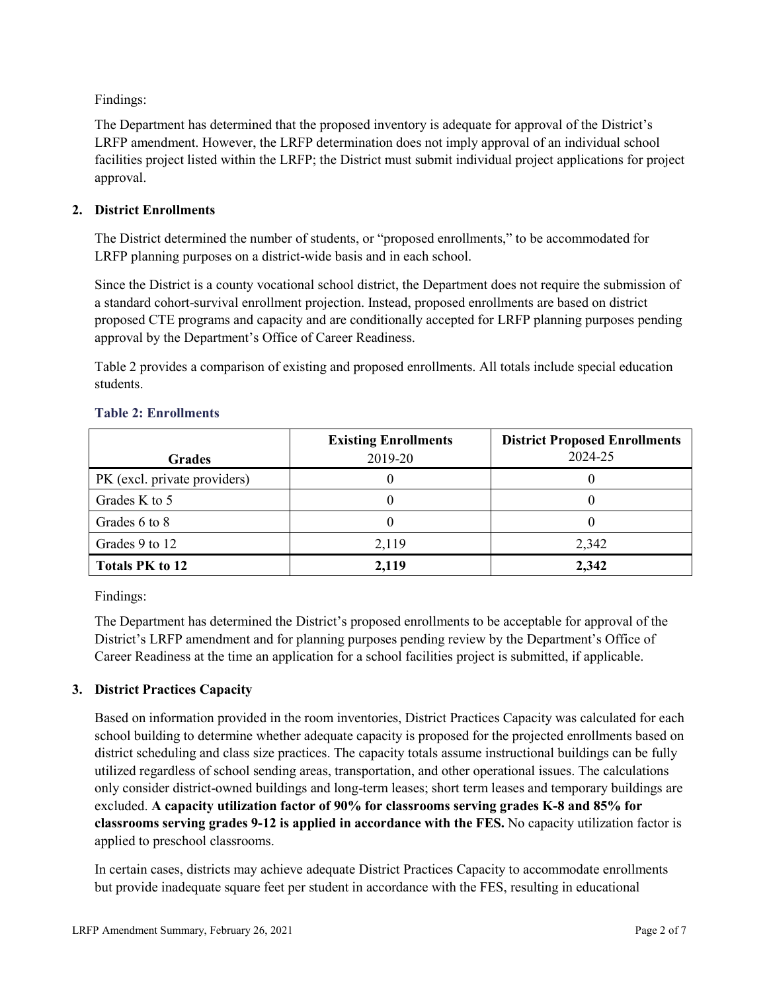Findings:

The Department has determined that the proposed inventory is adequate for approval of the District's LRFP amendment. However, the LRFP determination does not imply approval of an individual school facilities project listed within the LRFP; the District must submit individual project applications for project approval.

## **2. District Enrollments**

The District determined the number of students, or "proposed enrollments," to be accommodated for LRFP planning purposes on a district-wide basis and in each school.

Since the District is a county vocational school district, the Department does not require the submission of a standard cohort-survival enrollment projection. Instead, proposed enrollments are based on district proposed CTE programs and capacity and are conditionally accepted for LRFP planning purposes pending approval by the Department's Office of Career Readiness.

Table 2 provides a comparison of existing and proposed enrollments. All totals include special education students.

| <b>Grades</b>                | <b>Existing Enrollments</b><br>2019-20 | <b>District Proposed Enrollments</b><br>2024-25 |
|------------------------------|----------------------------------------|-------------------------------------------------|
|                              |                                        |                                                 |
| PK (excl. private providers) |                                        |                                                 |
| Grades K to 5                |                                        |                                                 |
| Grades 6 to 8                |                                        |                                                 |
| Grades 9 to 12               | 2,119                                  | 2,342                                           |
| <b>Totals PK to 12</b>       | 2,119                                  | 2,342                                           |

#### **Table 2: Enrollments**

Findings:

The Department has determined the District's proposed enrollments to be acceptable for approval of the District's LRFP amendment and for planning purposes pending review by the Department's Office of Career Readiness at the time an application for a school facilities project is submitted, if applicable.

## **3. District Practices Capacity**

Based on information provided in the room inventories, District Practices Capacity was calculated for each school building to determine whether adequate capacity is proposed for the projected enrollments based on district scheduling and class size practices. The capacity totals assume instructional buildings can be fully utilized regardless of school sending areas, transportation, and other operational issues. The calculations only consider district-owned buildings and long-term leases; short term leases and temporary buildings are excluded. **A capacity utilization factor of 90% for classrooms serving grades K-8 and 85% for classrooms serving grades 9-12 is applied in accordance with the FES.** No capacity utilization factor is applied to preschool classrooms.

In certain cases, districts may achieve adequate District Practices Capacity to accommodate enrollments but provide inadequate square feet per student in accordance with the FES, resulting in educational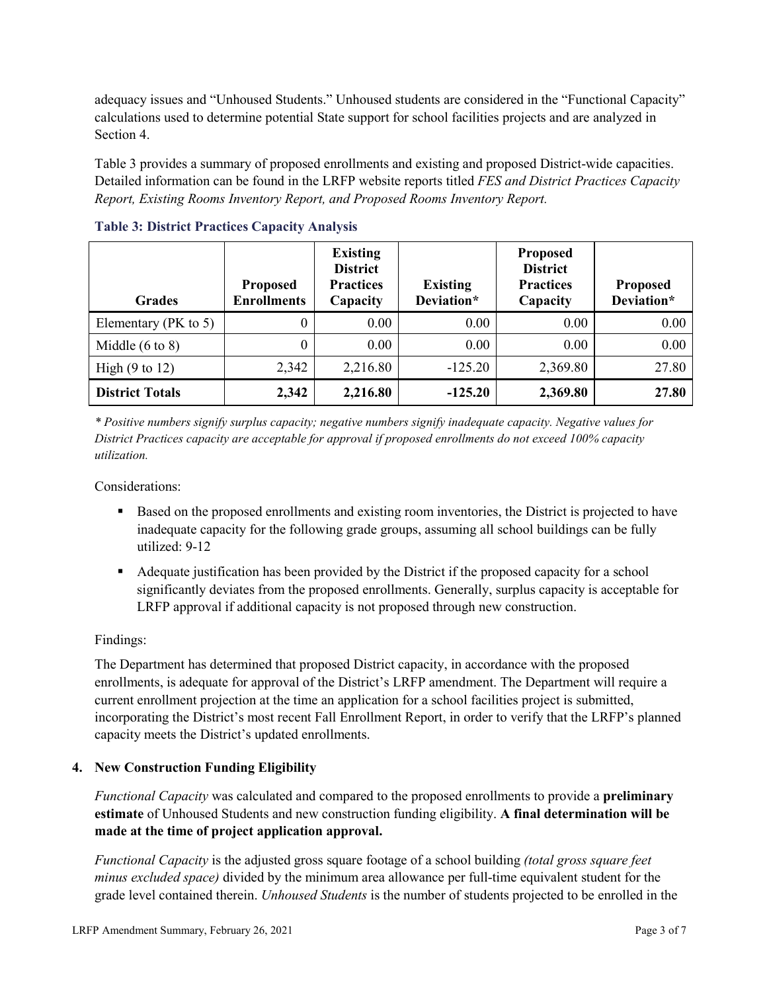adequacy issues and "Unhoused Students." Unhoused students are considered in the "Functional Capacity" calculations used to determine potential State support for school facilities projects and are analyzed in Section 4.

Table 3 provides a summary of proposed enrollments and existing and proposed District-wide capacities. Detailed information can be found in the LRFP website reports titled *FES and District Practices Capacity Report, Existing Rooms Inventory Report, and Proposed Rooms Inventory Report.*

| <b>Grades</b>              | <b>Proposed</b><br><b>Enrollments</b> | <b>Existing</b><br><b>District</b><br><b>Practices</b><br>Capacity | <b>Existing</b><br>Deviation* | <b>Proposed</b><br><b>District</b><br><b>Practices</b><br>Capacity | <b>Proposed</b><br>Deviation* |
|----------------------------|---------------------------------------|--------------------------------------------------------------------|-------------------------------|--------------------------------------------------------------------|-------------------------------|
| Elementary ( $PK$ to 5)    | 0                                     | 0.00                                                               | 0.00                          | 0.00                                                               | 0.00                          |
| Middle $(6 \text{ to } 8)$ | 0                                     | 0.00                                                               | 0.00                          | 0.00                                                               | 0.00                          |
| High $(9 \text{ to } 12)$  | 2,342                                 | 2,216.80                                                           | $-125.20$                     | 2,369.80                                                           | 27.80                         |
| <b>District Totals</b>     | 2,342                                 | 2,216.80                                                           | $-125.20$                     | 2,369.80                                                           | 27.80                         |

**Table 3: District Practices Capacity Analysis**

*\* Positive numbers signify surplus capacity; negative numbers signify inadequate capacity. Negative values for District Practices capacity are acceptable for approval if proposed enrollments do not exceed 100% capacity utilization.*

Considerations:

- Based on the proposed enrollments and existing room inventories, the District is projected to have inadequate capacity for the following grade groups, assuming all school buildings can be fully utilized: 9-12
- Adequate justification has been provided by the District if the proposed capacity for a school significantly deviates from the proposed enrollments. Generally, surplus capacity is acceptable for LRFP approval if additional capacity is not proposed through new construction.

## Findings:

The Department has determined that proposed District capacity, in accordance with the proposed enrollments, is adequate for approval of the District's LRFP amendment. The Department will require a current enrollment projection at the time an application for a school facilities project is submitted, incorporating the District's most recent Fall Enrollment Report, in order to verify that the LRFP's planned capacity meets the District's updated enrollments.

#### **4. New Construction Funding Eligibility**

*Functional Capacity* was calculated and compared to the proposed enrollments to provide a **preliminary estimate** of Unhoused Students and new construction funding eligibility. **A final determination will be made at the time of project application approval.**

*Functional Capacity* is the adjusted gross square footage of a school building *(total gross square feet minus excluded space)* divided by the minimum area allowance per full-time equivalent student for the grade level contained therein. *Unhoused Students* is the number of students projected to be enrolled in the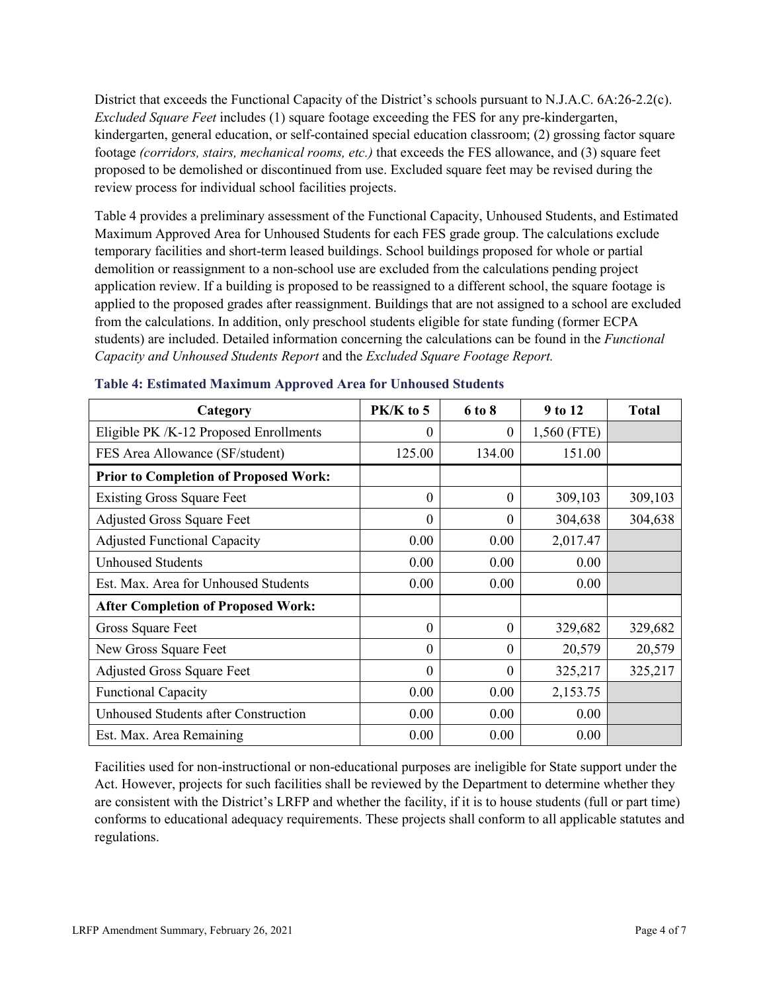District that exceeds the Functional Capacity of the District's schools pursuant to N.J.A.C. 6A:26-2.2(c). *Excluded Square Feet* includes (1) square footage exceeding the FES for any pre-kindergarten, kindergarten, general education, or self-contained special education classroom; (2) grossing factor square footage *(corridors, stairs, mechanical rooms, etc.)* that exceeds the FES allowance, and (3) square feet proposed to be demolished or discontinued from use. Excluded square feet may be revised during the review process for individual school facilities projects.

Table 4 provides a preliminary assessment of the Functional Capacity, Unhoused Students, and Estimated Maximum Approved Area for Unhoused Students for each FES grade group. The calculations exclude temporary facilities and short-term leased buildings. School buildings proposed for whole or partial demolition or reassignment to a non-school use are excluded from the calculations pending project application review. If a building is proposed to be reassigned to a different school, the square footage is applied to the proposed grades after reassignment. Buildings that are not assigned to a school are excluded from the calculations. In addition, only preschool students eligible for state funding (former ECPA students) are included. Detailed information concerning the calculations can be found in the *Functional Capacity and Unhoused Students Report* and the *Excluded Square Footage Report.*

| Category                                     | PK/K to 5 | 6 to 8   | 9 to 12     | <b>Total</b> |
|----------------------------------------------|-----------|----------|-------------|--------------|
| Eligible PK /K-12 Proposed Enrollments       | 0         | $\theta$ | 1,560 (FTE) |              |
| FES Area Allowance (SF/student)              | 125.00    | 134.00   | 151.00      |              |
| <b>Prior to Completion of Proposed Work:</b> |           |          |             |              |
| <b>Existing Gross Square Feet</b>            | $\theta$  | $\theta$ | 309,103     | 309,103      |
| <b>Adjusted Gross Square Feet</b>            | $\theta$  | $\theta$ | 304,638     | 304,638      |
| <b>Adjusted Functional Capacity</b>          | 0.00      | 0.00     | 2,017.47    |              |
| <b>Unhoused Students</b>                     | 0.00      | 0.00     | 0.00        |              |
| Est. Max. Area for Unhoused Students         | 0.00      | 0.00     | 0.00        |              |
| <b>After Completion of Proposed Work:</b>    |           |          |             |              |
| Gross Square Feet                            | $\theta$  | $\theta$ | 329,682     | 329,682      |
| New Gross Square Feet                        | $\theta$  | $\theta$ | 20,579      | 20,579       |
| <b>Adjusted Gross Square Feet</b>            | $\theta$  | $\theta$ | 325,217     | 325,217      |
| <b>Functional Capacity</b>                   | 0.00      | 0.00     | 2,153.75    |              |
| Unhoused Students after Construction         | 0.00      | 0.00     | 0.00        |              |
| Est. Max. Area Remaining                     | 0.00      | 0.00     | 0.00        |              |

#### **Table 4: Estimated Maximum Approved Area for Unhoused Students**

Facilities used for non-instructional or non-educational purposes are ineligible for State support under the Act. However, projects for such facilities shall be reviewed by the Department to determine whether they are consistent with the District's LRFP and whether the facility, if it is to house students (full or part time) conforms to educational adequacy requirements. These projects shall conform to all applicable statutes and regulations.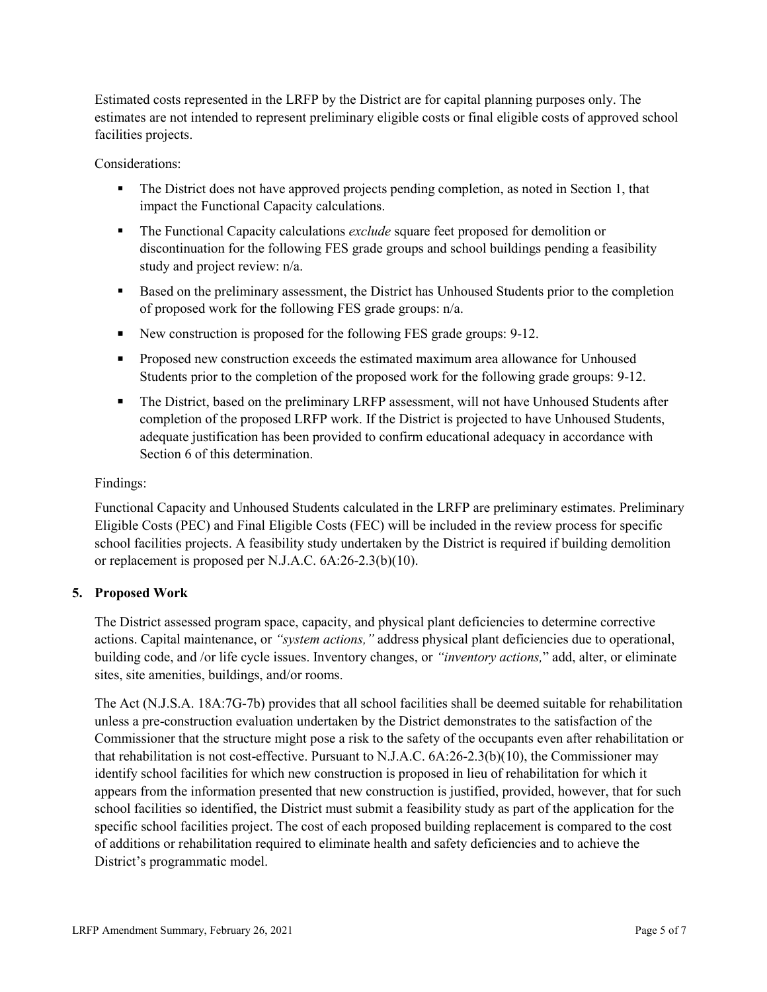Estimated costs represented in the LRFP by the District are for capital planning purposes only. The estimates are not intended to represent preliminary eligible costs or final eligible costs of approved school facilities projects.

Considerations:

- The District does not have approved projects pending completion, as noted in Section 1, that impact the Functional Capacity calculations.
- The Functional Capacity calculations *exclude* square feet proposed for demolition or discontinuation for the following FES grade groups and school buildings pending a feasibility study and project review: n/a.
- Based on the preliminary assessment, the District has Unhoused Students prior to the completion of proposed work for the following FES grade groups: n/a.
- New construction is proposed for the following FES grade groups: 9-12.
- **Proposed new construction exceeds the estimated maximum area allowance for Unhoused** Students prior to the completion of the proposed work for the following grade groups: 9-12.
- The District, based on the preliminary LRFP assessment, will not have Unhoused Students after completion of the proposed LRFP work. If the District is projected to have Unhoused Students, adequate justification has been provided to confirm educational adequacy in accordance with Section 6 of this determination.

## Findings:

Functional Capacity and Unhoused Students calculated in the LRFP are preliminary estimates. Preliminary Eligible Costs (PEC) and Final Eligible Costs (FEC) will be included in the review process for specific school facilities projects. A feasibility study undertaken by the District is required if building demolition or replacement is proposed per N.J.A.C. 6A:26-2.3(b)(10).

## **5. Proposed Work**

The District assessed program space, capacity, and physical plant deficiencies to determine corrective actions. Capital maintenance, or *"system actions,"* address physical plant deficiencies due to operational, building code, and /or life cycle issues. Inventory changes, or *"inventory actions,*" add, alter, or eliminate sites, site amenities, buildings, and/or rooms.

The Act (N.J.S.A. 18A:7G-7b) provides that all school facilities shall be deemed suitable for rehabilitation unless a pre-construction evaluation undertaken by the District demonstrates to the satisfaction of the Commissioner that the structure might pose a risk to the safety of the occupants even after rehabilitation or that rehabilitation is not cost-effective. Pursuant to N.J.A.C. 6A:26-2.3(b)(10), the Commissioner may identify school facilities for which new construction is proposed in lieu of rehabilitation for which it appears from the information presented that new construction is justified, provided, however, that for such school facilities so identified, the District must submit a feasibility study as part of the application for the specific school facilities project. The cost of each proposed building replacement is compared to the cost of additions or rehabilitation required to eliminate health and safety deficiencies and to achieve the District's programmatic model.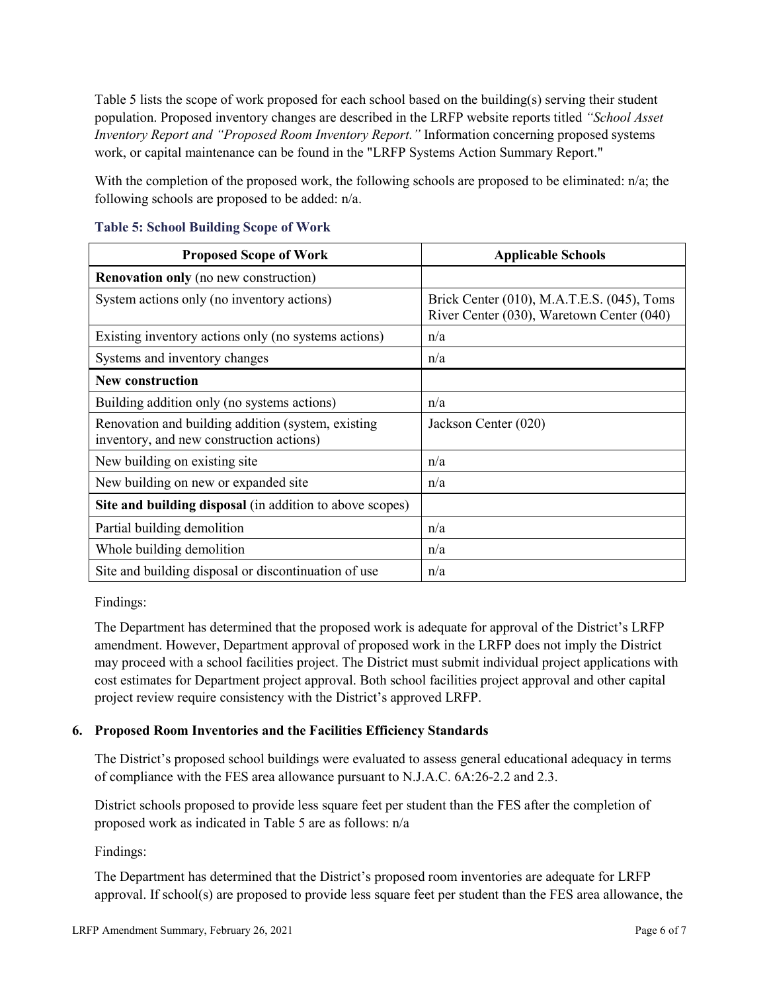Table 5 lists the scope of work proposed for each school based on the building(s) serving their student population. Proposed inventory changes are described in the LRFP website reports titled *"School Asset Inventory Report and "Proposed Room Inventory Report."* Information concerning proposed systems work, or capital maintenance can be found in the "LRFP Systems Action Summary Report."

With the completion of the proposed work, the following schools are proposed to be eliminated: n/a; the following schools are proposed to be added: n/a.

| <b>Proposed Scope of Work</b>                                                                  | <b>Applicable Schools</b>                                                               |
|------------------------------------------------------------------------------------------------|-----------------------------------------------------------------------------------------|
| <b>Renovation only</b> (no new construction)                                                   |                                                                                         |
| System actions only (no inventory actions)                                                     | Brick Center (010), M.A.T.E.S. (045), Toms<br>River Center (030), Waretown Center (040) |
| Existing inventory actions only (no systems actions)                                           | n/a                                                                                     |
| Systems and inventory changes                                                                  | n/a                                                                                     |
| <b>New construction</b>                                                                        |                                                                                         |
| Building addition only (no systems actions)                                                    | n/a                                                                                     |
| Renovation and building addition (system, existing<br>inventory, and new construction actions) | Jackson Center (020)                                                                    |
| New building on existing site                                                                  | n/a                                                                                     |
| New building on new or expanded site                                                           | n/a                                                                                     |
| Site and building disposal (in addition to above scopes)                                       |                                                                                         |
| Partial building demolition                                                                    | n/a                                                                                     |
| Whole building demolition                                                                      | n/a                                                                                     |
| Site and building disposal or discontinuation of use                                           | n/a                                                                                     |

### **Table 5: School Building Scope of Work**

Findings:

The Department has determined that the proposed work is adequate for approval of the District's LRFP amendment. However, Department approval of proposed work in the LRFP does not imply the District may proceed with a school facilities project. The District must submit individual project applications with cost estimates for Department project approval. Both school facilities project approval and other capital project review require consistency with the District's approved LRFP.

## **6. Proposed Room Inventories and the Facilities Efficiency Standards**

The District's proposed school buildings were evaluated to assess general educational adequacy in terms of compliance with the FES area allowance pursuant to N.J.A.C. 6A:26-2.2 and 2.3.

District schools proposed to provide less square feet per student than the FES after the completion of proposed work as indicated in Table 5 are as follows: n/a

Findings:

The Department has determined that the District's proposed room inventories are adequate for LRFP approval. If school(s) are proposed to provide less square feet per student than the FES area allowance, the